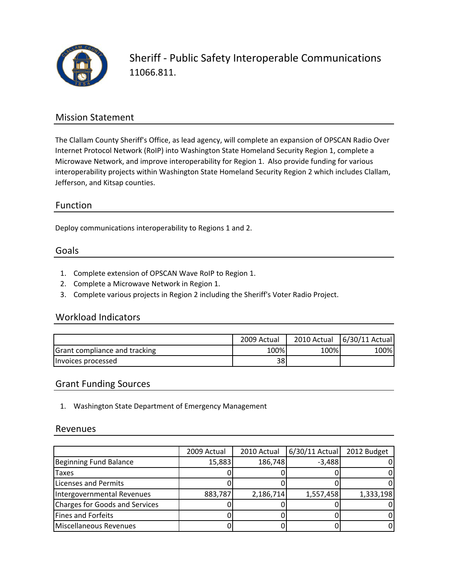

Sheriff ‐ Public Safety Interoperable Communications 11066.811.

### Mission Statement

The Clallam County Sheriff's Office, as lead agency, will complete an expansion of OPSCAN Radio Over Internet Protocol Network (RoIP) into Washington State Homeland Security Region 1, complete a Microwave Network, and improve interoperability for Region 1. Also provide funding for various interoperability projects within Washington State Homeland Security Region 2 which includes Clallam, Jefferson, and Kitsap counties.

## Function

Deploy communications interoperability to Regions 1 and 2.

#### Goals

- 1. Complete extension of OPSCAN Wave RoIP to Region 1.
- 2. Complete a Microwave Network in Region 1.
- 3. Complete various projects in Region 2 including the Sheriff's Voter Radio Project.

### Workload Indicators

|                               | 2009 Actual | 2010 Actual | 6/30/11 Actual |
|-------------------------------|-------------|-------------|----------------|
| Grant compliance and tracking | 100%        | 100%        | 100%           |
| Invoices processed            | 38          |             |                |

### Grant Funding Sources

1. Washington State Department of Emergency Management

#### Revenues

|                                | 2009 Actual | 2010 Actual | 6/30/11 Actual | 2012 Budget |
|--------------------------------|-------------|-------------|----------------|-------------|
| Beginning Fund Balance         | 15,883      | 186,748     | $-3,488$       |             |
| <b>Taxes</b>                   |             |             |                |             |
| Licenses and Permits           |             |             |                |             |
| Intergovernmental Revenues     | 883,787     | 2,186,714   | 1,557,458      | 1,333,198   |
| Charges for Goods and Services |             |             |                |             |
| Fines and Forfeits             |             |             |                |             |
| Miscellaneous Revenues         |             |             |                |             |